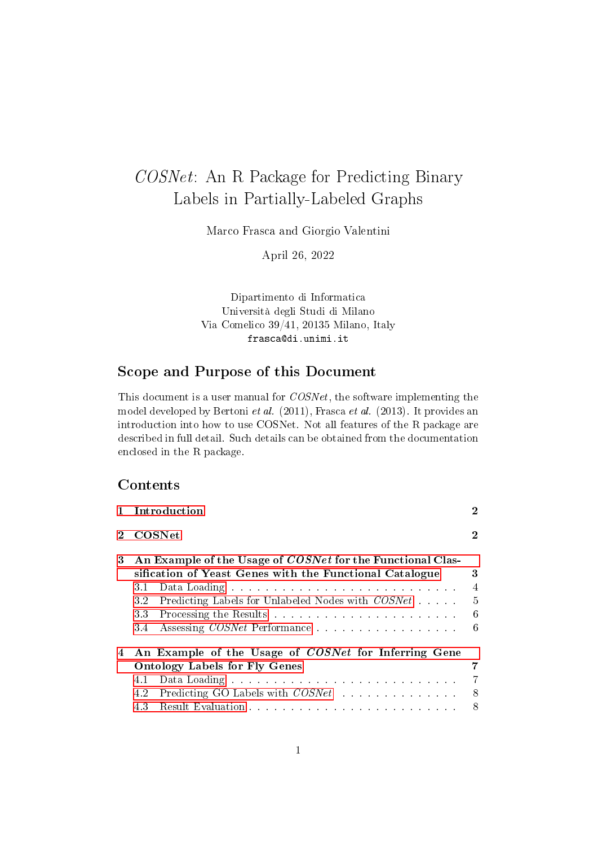# COSNet: An R Package for Predicting Binary Labels in Partially-Labeled Graphs

Marco Frasca and Giorgio Valentini

April 26, 2022

Dipartimento di Informatica Università degli Studi di Milano Via Comelico 39/41, 20135 Milano, Italy frasca@di.unimi.it

## Scope and Purpose of this Document

This document is a user manual for COSNet, the software implementing the model developed by Bertoni et al. (2011), Frasca et al. (2013). It provides an introduction into how to use COSNet. Not all features of the R package are described in full detail. Such details can be obtained from the documentation enclosed in the R package.

### **Contents**

|   | Introduction                                                                                                                                                                                                 |                                                |  |  |  |  |  |
|---|--------------------------------------------------------------------------------------------------------------------------------------------------------------------------------------------------------------|------------------------------------------------|--|--|--|--|--|
|   | <b>COSNet</b>                                                                                                                                                                                                |                                                |  |  |  |  |  |
| 3 | An Example of the Usage of <i>COSNet</i> for the Functional Clas-<br>sification of Yeast Genes with the Functional Catalogue<br>3.1<br>Predicting Labels for Unlabeled Nodes with COSNet<br>3.2<br>33<br>3.4 | 3<br>$\overline{4}$<br>$\frac{5}{2}$<br>6<br>6 |  |  |  |  |  |
|   | An Example of the Usage of COSNet for Inferring Gene<br><b>Ontology Labels for Fly Genes</b><br>4.1<br>Predicting GO Labels with <i>COSNet</i><br>4.2<br>43                                                  | 7<br>8<br>8                                    |  |  |  |  |  |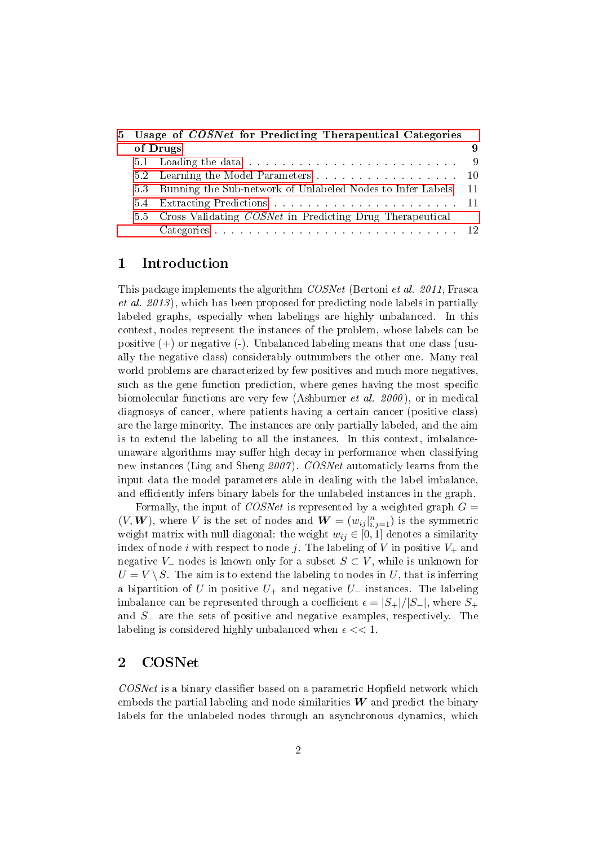|  | 5 Usage of COSNet for Predicting Therapeutical Categories                                                                                                                                                                      |  |  |  |  |  |  |
|--|--------------------------------------------------------------------------------------------------------------------------------------------------------------------------------------------------------------------------------|--|--|--|--|--|--|
|  | of Drugs                                                                                                                                                                                                                       |  |  |  |  |  |  |
|  | 5.1 Loading the data response is a constrained by the set of the set of the set of the set of the set of the set of the set of the set of the set of the set of the set of the set of the set of the set of the set of the set |  |  |  |  |  |  |
|  | 5.2 Learning the Model Parameters 10                                                                                                                                                                                           |  |  |  |  |  |  |
|  | 5.3 Running the Sub-network of Unlabeled Nodes to Infer Labels 11                                                                                                                                                              |  |  |  |  |  |  |
|  |                                                                                                                                                                                                                                |  |  |  |  |  |  |
|  | 5.5 Cross Validating <i>COSNet</i> in Predicting Drug Therapeutical                                                                                                                                                            |  |  |  |  |  |  |
|  |                                                                                                                                                                                                                                |  |  |  |  |  |  |

### <span id="page-1-0"></span>1 Introduction

This package implements the algorithm COSNet (Bertoni et al. 2011, Frasca et al. 2013 ), which has been proposed for predicting node labels in partially labeled graphs, especially when labelings are highly unbalanced. In this context, nodes represent the instances of the problem, whose labels can be positive  $(+)$  or negative  $(-)$ . Unbalanced labeling means that one class (usually the negative class) considerably outnumbers the other one. Many real world problems are characterized by few positives and much more negatives such as the gene function prediction, where genes having the most specific biomolecular functions are very few (Ashburner et al. 2000 ), or in medical diagnosys of cancer, where patients having a certain cancer (positive class) are the large minority. The instances are only partially labeled, and the aim is to extend the labeling to all the instances. In this context, imbalanceunaware algorithms may suffer high decay in performance when classifying new instances (Ling and Sheng 2007). COSNet automaticly learns from the input data the model parameters able in dealing with the label imbalance, and efficiently infers binary labels for the unlabeled instances in the graph.

Formally, the input of *COSNet* is represented by a weighted graph  $G =$  $(V, W)$ , where V is the set of nodes and  $W = (w_{ij}|_{i,j=1}^n)$  is the symmetric weight matrix with null diagonal: the weight  $w_{ij} \in [0, 1]$  denotes a similarity index of node i with respect to node j. The labeling of V in positive  $V_+$  and negative V<sub>-</sub> nodes is known only for a subset  $S \subset V$ , while is unknown for  $U = V \setminus S$ . The aim is to extend the labeling to nodes in U, that is inferring a bipartition of U in positive  $U_+$  and negative  $U_-$  instances. The labeling imbalance can be represented through a coefficient  $\epsilon = |S_+|/|S_-|$ , where  $S_+$ and S<sup>−</sup> are the sets of positive and negative examples, respectively. The labeling is considered highly unbalanced when  $\epsilon \ll 1$ .

#### <span id="page-1-1"></span>2 COSNet

 $COSNet$  is a binary classifier based on a parametric Hopfield network which embeds the partial labeling and node similarities  $W$  and predict the binary labels for the unlabeled nodes through an asynchronous dynamics, which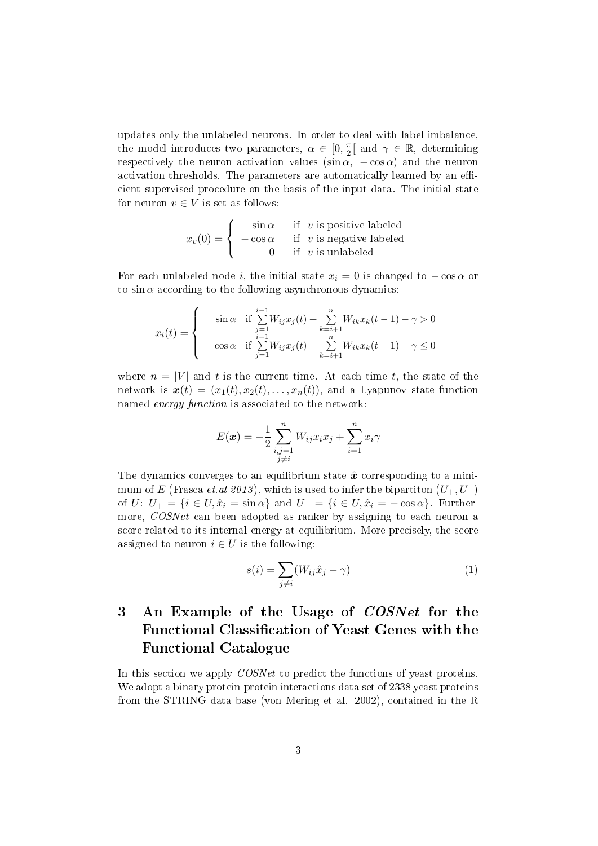updates only the unlabeled neurons. In order to deal with label imbalance, the model introduces two parameters,  $\alpha \in [0, \frac{\pi}{2}]$  $\frac{\pi}{2}$ [ and  $\gamma \in \mathbb{R}$ , determining respectively the neuron activation values  $(\sin \alpha, -\cos \alpha)$  and the neuron activation thresholds. The parameters are automatically learned by an efficient supervised procedure on the basis of the input data. The initial state for neuron  $v \in V$  is set as follows:

$$
x_v(0) = \begin{cases} \sin \alpha & \text{if } v \text{ is positive labeled} \\ -\cos \alpha & \text{if } v \text{ is negative labeled} \\ 0 & \text{if } v \text{ is unlabeled} \end{cases}
$$

For each unlabeled node i, the initial state  $x_i = 0$  is changed to  $-\cos \alpha$  or to  $\sin \alpha$  according to the following asynchronous dynamics:

$$
x_i(t) = \begin{cases} \sin \alpha & \text{if } \sum_{j=1}^{i-1} W_{ij} x_j(t) + \sum_{k=i+1}^n W_{ik} x_k(t-1) - \gamma > 0\\ -\cos \alpha & \text{if } \sum_{j=1}^{i-1} W_{ij} x_j(t) + \sum_{k=i+1}^n W_{ik} x_k(t-1) - \gamma \le 0 \end{cases}
$$

where  $n = |V|$  and t is the current time. At each time t, the state of the network is  $\mathbf{x}(t) = (x_1(t), x_2(t), \ldots, x_n(t))$ , and a Lyapunov state function named energy function is associated to the network:

$$
E(\boldsymbol{x}) = -\frac{1}{2} \sum_{\substack{i,j=1 \ j \neq i}}^n W_{ij} x_i x_j + \sum_{i=1}^n x_i \gamma
$$

The dynamics converges to an equilibrium state  $\hat{x}$  corresponding to a minimum of E (Frasca et.al 2013), which is used to infer the bipartiton  $(U_+, U_-)$ of U:  $U_+ = \{i \in U, \hat{x}_i = \sin \alpha\}$  and  $U_- = \{i \in U, \hat{x}_i = -\cos \alpha\}$ . Furthermore, COSNet can been adopted as ranker by assigning to each neuron a score related to its internal energy at equilibrium. More precisely, the score assigned to neuron  $i \in U$  is the following:

<span id="page-2-1"></span>
$$
s(i) = \sum_{j \neq i} (W_{ij}\hat{x}_j - \gamma)
$$
 (1)

# <span id="page-2-0"></span>3 An Example of the Usage of *COSNet* for the Functional Classification of Yeast Genes with the Functional Catalogue

In this section we apply *COSNet* to predict the functions of yeast proteins. We adopt a binary protein-protein interactions data set of 2338 yeast proteins from the STRING data base (von Mering et al. 2002), contained in the R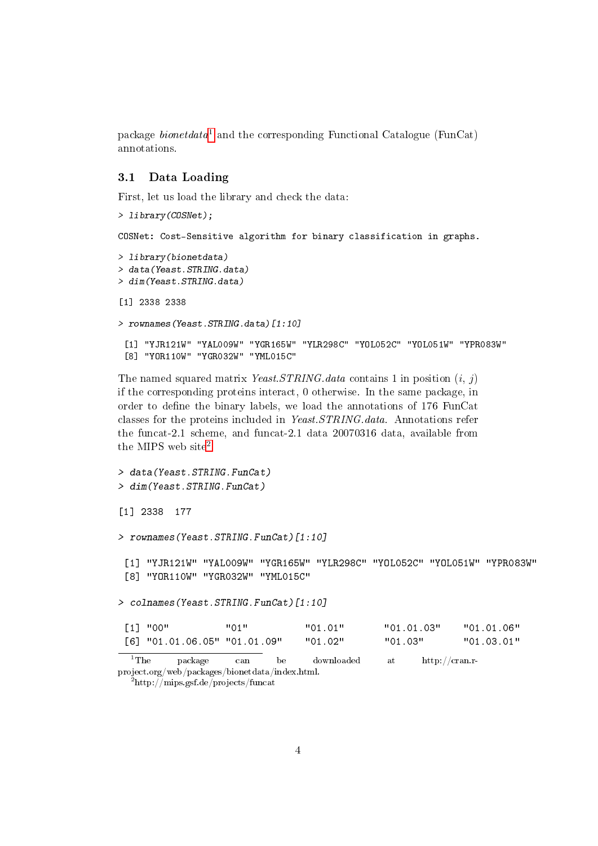package *bionet data*<sup>[1](#page-3-1)</sup> and the corresponding Functional Catalogue (FunCat) annotations.

#### <span id="page-3-0"></span>3.1 Data Loading

First, let us load the library and check the data:

```
> library(COSNet);
COSNet: Cost-Sensitive algorithm for binary classification in graphs.
> library(bionetdata)
> data(Yeast.STRING.data)
> dim(Yeast.STRING.data)
[1] 2338 2338
> rownames(Yeast.STRING.data)[1:10]
 [1] "YJR121W" "YAL009W" "YGR165W" "YLR298C" "YOL052C" "YOL051W" "YPR083W"
 [8] "YOR110W" "YGR032W" "YML015C"
```
The named squared matrix *Yeast.STRING.data* contains 1 in position  $(i, j)$ if the corresponding proteins interact, 0 otherwise. In the same package, in order to define the binary labels, we load the annotations of 176 FunCat classes for the proteins included in Yeast.STRING.data. Annotations refer the funcat-2.1 scheme, and funcat-2.1 data 20070316 data, available from the MIPS web site<sup>[2](#page-3-2)</sup>.

```
> data(Yeast.STRING.FunCat)
> dim(Yeast.STRING.FunCat)
[1] 2338 177
> rownames(Yeast.STRING.FunCat)[1:10]
 [1] "YJR121W" "YAL009W" "YGR165W" "YLR298C" "YOL052C" "YOL051W" "YPR083W"
 [8] "YOR110W" "YGR032W" "YML015C"
> colnames(Yeast.STRING.FunCat)[1:10]
 [1] "00" "01" "01.01" "01.01.03" "01.01.06"
 [6] "01.01.06.05" "01.01.09" "01.02" "01.03" "01.03.01"
  ^{1}The package can be downloaded at http://cran.r-
```
<span id="page-3-1"></span>project.org/web/packages/bionetdata/index.html.

<span id="page-3-2"></span> $^{2}$ http://mips.gsf.de/projects/funcat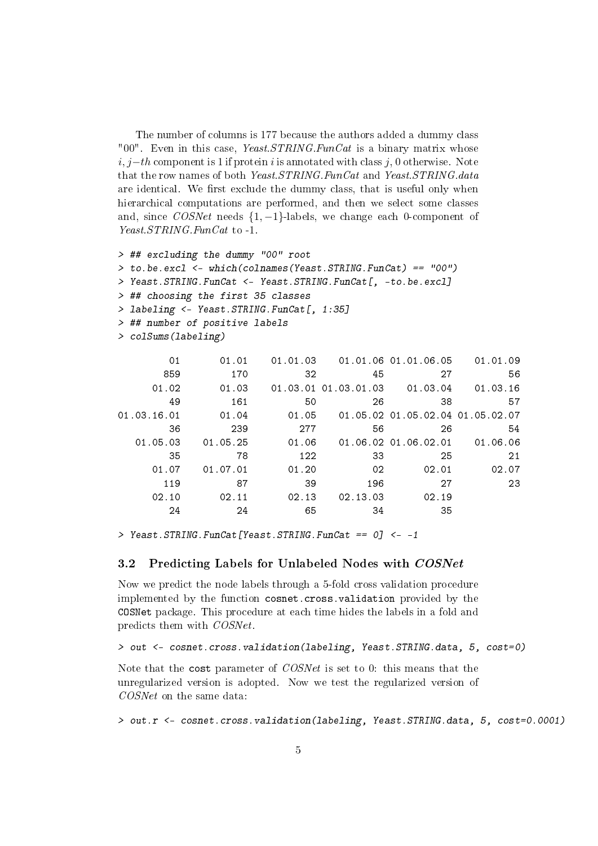The number of columns is 177 because the authors added a dummy class "00". Even in this case, Yeast.  $STRING.FunCat$  is a binary matrix whose  $i, j-th$  component is 1 if protein i is annotated with class j, 0 otherwise. Note that the row names of both Yeast.STRING.FunCat and Yeast.STRING.data are identical. We first exclude the dummy class, that is useful only when hierarchical computations are performed, and then we select some classes and, since  $COSNet$  needs  $\{1, -1\}$ -labels, we change each 0-component of Yeast.STRING.FunCat to -1.

```
> ## excluding the dummy "00" root
> to.be.excl <- which(colnames(Yeast.STRING.FunCat) == "00")
> Yeast.STRING.FunCat <- Yeast.STRING.FunCat[, -to.be.excl]
> ## choosing the first 35 classes
> labeling <- Yeast.STRING.FunCat[, 1:35]
> ## number of positive labels
> colSums(labeling)
```

| 01          | 01.01    | 01.01.03 |                      | 01.01.06 01.01.06.05             | 01.01.09 |
|-------------|----------|----------|----------------------|----------------------------------|----------|
| 859         | 170      | 32       | 45                   | 27                               | 56       |
| 01.02       | 01.03    |          | 01.03.01 01.03.01.03 | 01.03.04                         | 01.03.16 |
| 49          | 161      | 50       | 26                   | 38                               | 57       |
| 01.03.16.01 | 01.04    | 01.05    |                      | 01.05.02 01.05.02.04 01.05.02.07 |          |
| 36          | 239      | 277      | 56                   | 26                               | 54       |
| 01.05.03    | 01.05.25 | 01.06    |                      | 01.06.02 01.06.02.01             | 01.06.06 |
| 35          | 78       | 122      | 33                   | 25                               | 21       |
| 01.07       | 01.07.01 | 01.20    | 02                   | 02.01                            | 02.07    |
| 119         | 87       | 39       | 196                  | 27                               | 23       |
| 02.10       | 02.11    | 02.13    | 02.13.03             | 02.19                            |          |
| 24          | 24       | 65       | 34                   | 35                               |          |

> Yeast.STRING.FunCat[Yeast.STRING.FunCat == 0] <- -1

#### <span id="page-4-0"></span>3.2 Predicting Labels for Unlabeled Nodes with COSNet

Now we predict the node labels through a 5-fold cross validation procedure implemented by the function cosnet.cross.validation provided by the COSNet package. This procedure at each time hides the labels in a fold and predicts them with COSNet.

> out <- cosnet.cross.validation(labeling, Yeast.STRING.data, 5, cost=0)

Note that the cost parameter of COSNet is set to 0: this means that the unregularized version is adopted. Now we test the regularized version of COSNet on the same data:

> out.r <- cosnet.cross.validation(labeling, Yeast.STRING.data, 5, cost=0.0001)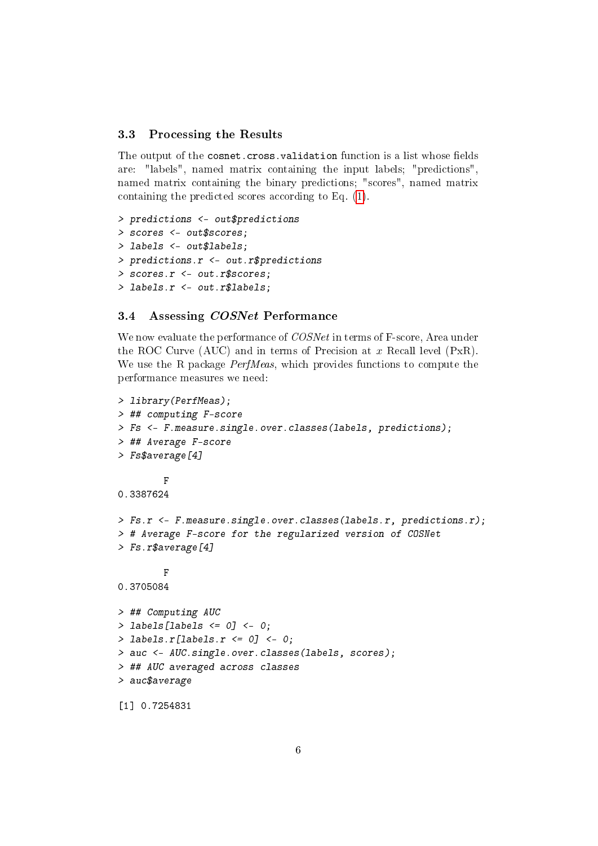#### <span id="page-5-0"></span>3.3 Processing the Results

The output of the cosnet.cross.validation function is a list whose fields are: "labels", named matrix containing the input labels; "predictions", named matrix containing the binary predictions; "scores", named matrix containing the predicted scores according to Eq. [\(1\)](#page-2-1).

```
> predictions <- out$predictions
> scores <- out$scores;
> labels <- out$labels;
> predictions.r <- out.r$predictions
> scores.r <- out.r$scores;
> labels.r <- out.r$labels;
```
#### <span id="page-5-1"></span>3.4 Assessing COSNet Performance

We now evaluate the performance of COSNet in terms of F-score, Area under the ROC Curve (AUC) and in terms of Precision at  $x$  Recall level (PxR). We use the R package *PerfMeas*, which provides functions to compute the performance measures we need:

```
> library(PerfMeas);
> ## computing F-score
> Fs <- F.measure.single.over.classes(labels, predictions);
> ## Average F-score
> Fs$average[4]
        F
0.3387624
> Fs.r <- F.measure.single.over.classes(labels.r, predictions.r);
> # Average F-score for the regularized version of COSNet
> Fs.r$average[4]
        F
0.3705084
> ## Computing AUC
> labels [labels \leq 0] \leq 0;
> labels.r[labels.r \leq 0] \leq 0;
> auc <- AUC.single.over.classes(labels, scores);
> ## AUC averaged across classes
> auc$average
[1] 0.7254831
```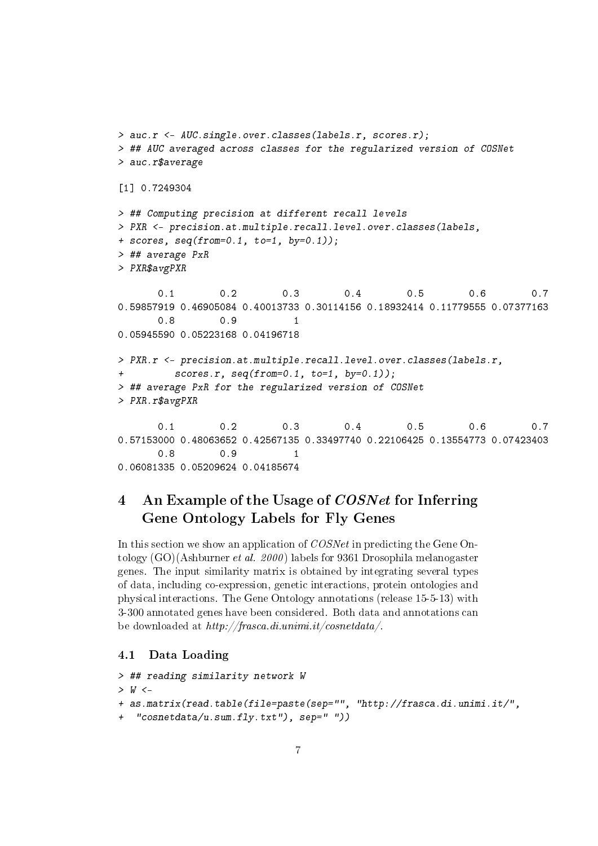```
> auc.r <- AUC.single.over.classes(labels.r, scores.r);
> ## AUC averaged across classes for the regularized version of COSNet
> auc.r$average
[1] 0.7249304
> ## Computing precision at different recall levels
> PXR <- precision.at.multiple.recall.level.over.classes(labels,
+ scores, seq(from=0.1, to=1, by=0.1);
> ## average PxR
> PXR$avgPXR
      0.1 0.2 0.3 0.4 0.5 0.6 0.7
0.59857919 0.46905084 0.40013733 0.30114156 0.18932414 0.11779555 0.07377163
      0.8 0.9 1
0.05945590 0.05223168 0.04196718
> PXR.r <- precision.at.multiple.recall.level.over.classes(labels.r,
+ scores.r, seq(from=0.1, to=1, by=0.1));
> ## average PxR for the regularized version of COSNet
> PXR.r$avgPXR
      0.1 0.2 0.3 0.4 0.5 0.6 0.7
0.57153000 0.48063652 0.42567135 0.33497740 0.22106425 0.13554773 0.07423403
      0.8 0.9 1
0.06081335 0.05209624 0.04185674
```
# <span id="page-6-0"></span>4 An Example of the Usage of *COSNet* for Inferring Gene Ontology Labels for Fly Genes

In this section we show an application of COSNet in predicting the Gene Ontology (GO)(Ashburner et al. 2000 ) labels for 9361 Drosophila melanogaster genes. The input similarity matrix is obtained by integrating several types of data, including co-expression, genetic interactions, protein ontologies and physical interactions. The Gene Ontology annotations (release 15-5-13) with 3-300 annotated genes have been considered. Both data and annotations can be downloaded at http://frasca.di.unimi.it/cosnetdata/.

#### <span id="page-6-1"></span>4.1 Data Loading

```
> ## reading similarity network W
> W < -+ as.matrix(read.table(file=paste(sep="", "http://frasca.di.unimi.it/",
  "cosnetdata/u.sum.fly.txt"), sep=" "))
```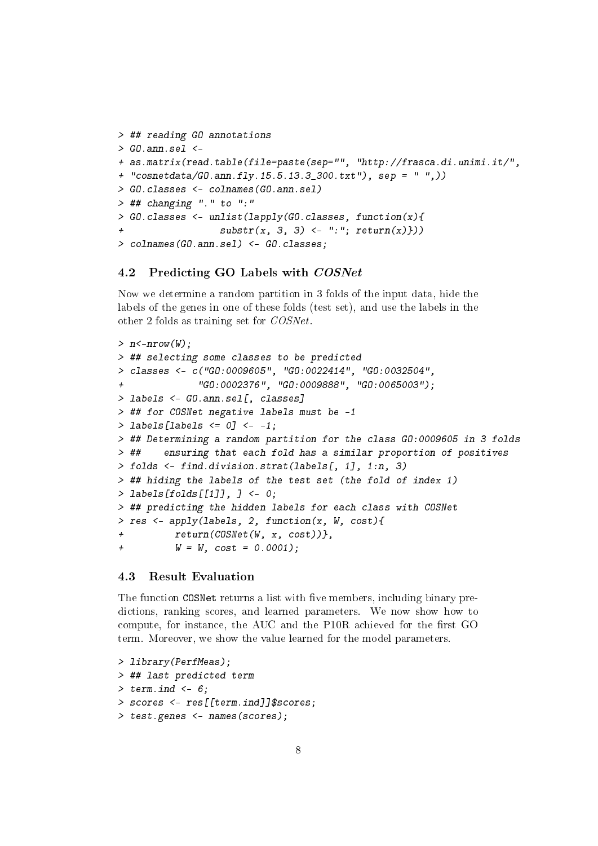```
> ## reading GO annotations
> GO.ann.sel <-
+ as.matrix(read.table(file=paste(sep="", "http://frasca.di.unimi.it/",
+ "cosnetdata/GO.ann.fly.15.5.13.3_300.txt"), sep = " ",))
> GO.classes <- colnames(GO.ann.sel)
> ## changing "." to ":"
> GO.classes <- unlist(lapply(GO.classes, function(x){
+ substr(x, 3, 3) <- ":"; return(x)}))
> colnames(GO.ann.sel) <- GO.classes;
```
#### <span id="page-7-0"></span>4.2 Predicting GO Labels with COSNet

Now we determine a random partition in 3 folds of the input data, hide the labels of the genes in one of these folds (test set), and use the labels in the other 2 folds as training set for COSNet.

```
> n < -nrow(W);> ## selecting some classes to be predicted
> classes <- c("GO:0009605", "GO:0022414", "GO:0032504",
+ "GO:0002376", "GO:0009888", "GO:0065003");
> labels <- GO.ann.sel[, classes]
> ## for COSNet negative labels must be -1
> labels[labels \leq 0] \leq -1;
> ## Determining a random partition for the class GO:0009605 in 3 folds
> ## ensuring that each fold has a similar proportion of positives
> folds <- find.division.strat(labels[, 1], 1:n, 3)
> ## hiding the labels of the test set (the fold of index 1)
> labels[folds[[1]], ] <- 0;
> ## predicting the hidden labels for each class with COSNet
> res <- apply(labels, 2, function(x, W, cost){
+ return(COSNet(W, x, cost))},
+ W = W, cost = 0.0001;
```
#### <span id="page-7-1"></span>4.3 Result Evaluation

The function COSNet returns a list with five members, including binary predictions, ranking scores, and learned parameters. We now show how to compute, for instance, the AUC and the P10R achieved for the first GO term. Moreover, we show the value learned for the model parameters.

```
> library(PerfMeas);
> ## last predicted term
> term.ind <-6;
> scores <- res[[term.ind]]$scores;
> test.genes <- names(scores);
```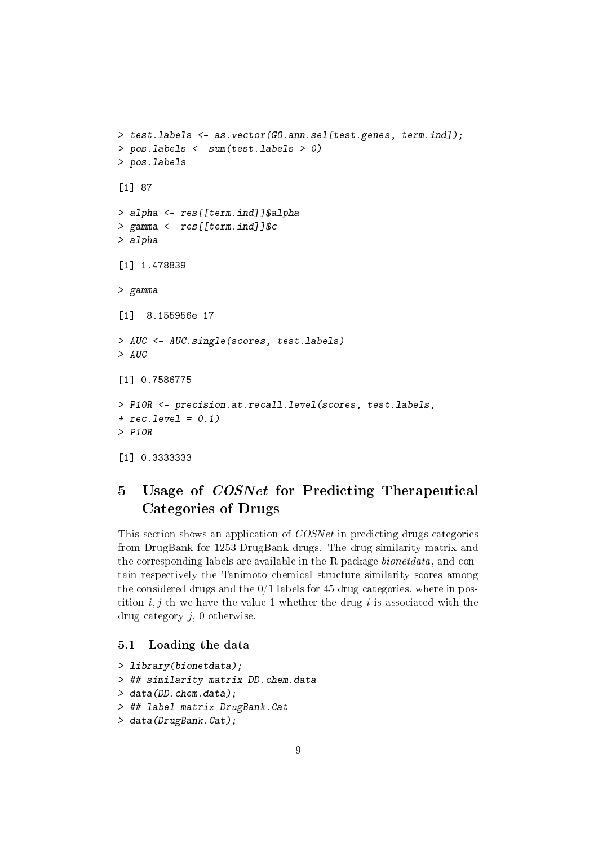```
> test.labels <- as.vector(GO.ann.sel[test.genes, term.ind]);
> pos.labels <- sum(test.labels > 0)
> pos.labels
[1] 87
> alpha <- res[[term.ind]]$alpha
> gamma <- res[[term.ind]]$c
> alpha
[1] 1.478839
> gamma
[1] -8.155956e-17
> AUC <- AUC.single(scores, test.labels)
> AUC
[1] 0.7586775
> P10R <- precision.at.recall.level(scores, test.labels,
+ rec.level = 0.1)
> P10R
[1] 0.3333333
```
# <span id="page-8-0"></span>5 Usage of COSNet for Predicting Therapeutical Categories of Drugs

This section shows an application of COSNet in predicting drugs categories from DrugBank for 1253 DrugBank drugs. The drug similarity matrix and the corresponding labels are available in the R package bionetdata, and contain respectively the Tanimoto chemical structure similarity scores among the considered drugs and the  $0/1$  labels for 45 drug categories, where in postition  $i, j$ -th we have the value 1 whether the drug i is associated with the drug category  $j$ , 0 otherwise.

#### <span id="page-8-1"></span>5.1 Loading the data

```
> library(bionetdata);
> ## similarity matrix DD.chem.data
> data(DD.chem.data);
> ## label matrix DrugBank.Cat
> data(DrugBank.Cat);
```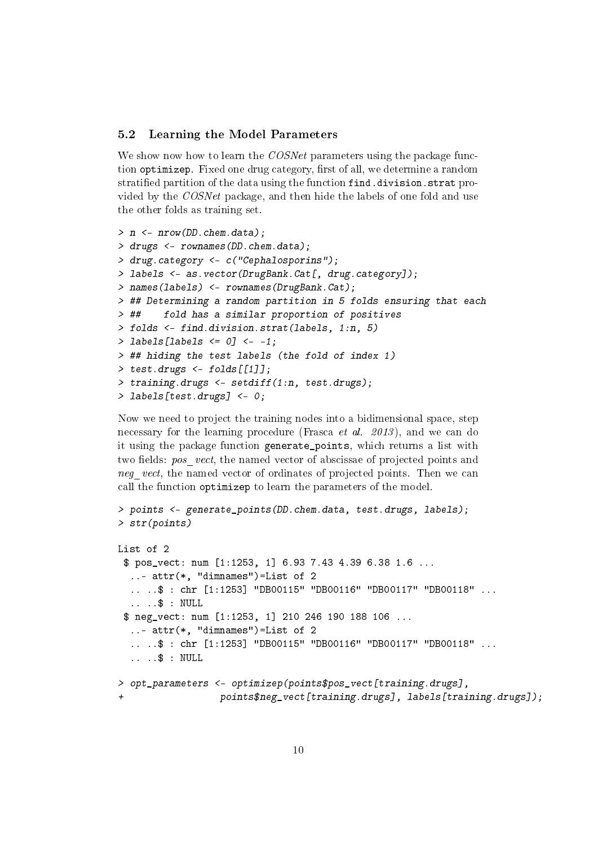#### <span id="page-9-0"></span>5.2 Learning the Model Parameters

We show now how to learn the COSNet parameters using the package function optimizep. Fixed one drug category, first of all, we determine a random stratified partition of the data using the function find.division.strat provided by the COSNet package, and then hide the labels of one fold and use the other folds as training set.

```
> n <- nrow(DD.chem.data);
> drugs <- rownames(DD.chem.data);
> drug.category <- c("Cephalosporins");
> labels <- as.vector(DrugBank.Cat[, drug.category]);
> names(labels) <- rownames(DrugBank.Cat);
> ## Determining a random partition in 5 folds ensuring that each
> ## fold has a similar proportion of positives
> folds <- find.division.strat(labels, 1:n, 5)
> labels [labels \leq 0] \leq -1;
> ## hiding the test labels (the fold of index 1)
> test.drugs <- folds[[1]];
> training.drugs <- setdiff(1:n, test.drugs);
> labels[test.drugs] <- 0;
```
Now we need to project the training nodes into a bidimensional space, step necessary for the learning procedure (Frasca *et al. 2013*), and we can do it using the package function generate\_points, which returns a list with two fields: pos vect, the named vector of abscissae of projected points and neg vect, the named vector of ordinates of projected points. Then we can call the function optimizep to learn the parameters of the model.

```
> points <- generate_points(DD.chem.data, test.drugs, labels);
> str(points)
```

```
List of 2
 $ pos_vect: num [1:1253, 1] 6.93 7.43 4.39 6.38 1.6 ...
  ..- attr(*, "dimnames")=List of 2
  .. ..$ : chr [1:1253] "DB00115" "DB00116" "DB00117" "DB00118" ...
  .. ..$ : NULL
 $ neg_vect: num [1:1253, 1] 210 246 190 188 106 ...
  ..- attr(*, "dimnames")=List of 2
  .. ..$ : chr [1:1253] "DB00115" "DB00116" "DB00117" "DB00118" ...
  .. ..$ : NULL
> opt_parameters <- optimizep(points$pos_vect[training.drugs],
                  points$neg_vect[training.drugs], labels[training.drugs]);
```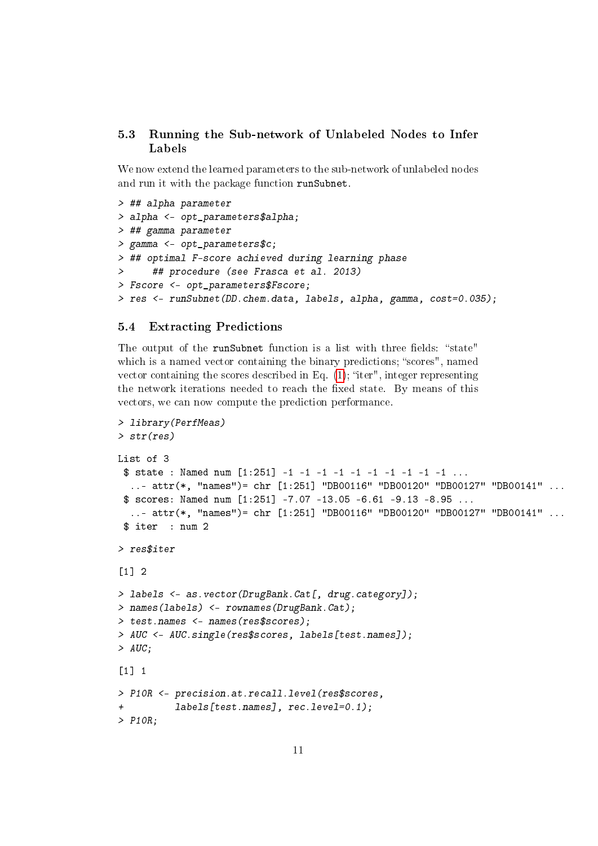#### <span id="page-10-0"></span>5.3 Running the Sub-network of Unlabeled Nodes to Infer Labels

We now extend the learned parameters to the sub-network of unlabeled nodes and run it with the package function runSubnet.

```
> ## alpha parameter
> alpha <- opt_parameters$alpha;
> ## gamma parameter
> gamma <- opt_parameters$c;
> ## optimal F-score achieved during learning phase
> ## procedure (see Frasca et al. 2013)
> Fscore <- opt_parameters$Fscore;
> res <- runSubnet(DD.chem.data, labels, alpha, gamma, cost=0.035);
```
#### <span id="page-10-1"></span>5.4 Extracting Predictions

The output of the runSubnet function is a list with three fields: "state" which is a named vector containing the binary predictions; "scores", named vector containing the scores described in Eq.  $(1)$ ; "iter", integer representing the network iterations needed to reach the fixed state. By means of this vectors, we can now compute the prediction performance.

```
> library(PerfMeas)
> str(res)
List of 3
 $ state : Named num [1:251] -1 -1 -1 -1 -1 -1 -1 -1 -1 -1 ...
  ..- attr(*, "names")= chr [1:251] "DB00116" "DB00120" "DB00127" "DB00141" ...
 $ scores: Named num [1:251] -7.07 -13.05 -6.61 -9.13 -8.95 ...
  ..- attr(*, "names")= chr [1:251] "DB00116" "DB00120" "DB00127" "DB00141" ...
 $ iter : num 2
> res$iter
\lceil 1 \rceil 2
> labels <- as.vector(DrugBank.Cat[, drug.category]);
> names(labels) <- rownames(DrugBank.Cat);
> test.names <- names(res$scores);
> AUC <- AUC.single(res$scores, labels[test.names]);
> AUC;
\begin{bmatrix} 1 \\ 1 \end{bmatrix} 1
> P10R <- precision.at.recall.level(res$scores,
+ labels[test.names], rec.level=0.1);
> P10R;
```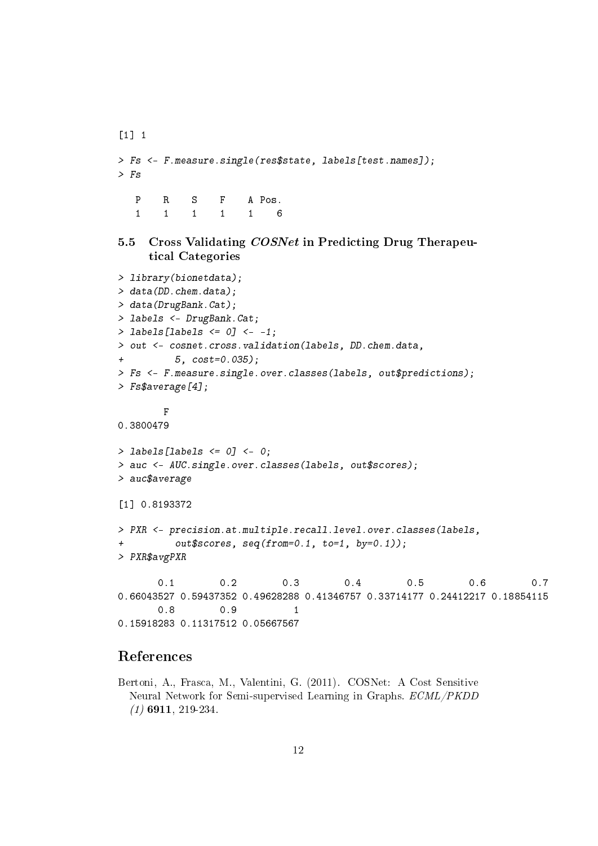```
\begin{bmatrix} 1 \\ 1 \end{bmatrix} 1
> Fs <- F.measure.single(res$state, labels[test.names]);
> Fs
   P R S F A Pos.
   1 1 1 1 1 6
```
#### <span id="page-11-0"></span>5.5 Cross Validating COSNet in Predicting Drug Therapeutical Categories

```
> library(bionetdata);
> data(DD.chem.data);
> data(DrugBank.Cat);
> labels <- DrugBank.Cat;
> labels[labels \leq 0] \leq -1;
> out <- cosnet.cross.validation(labels, DD.chem.data,
+ 5, cost=0.035);
> Fs <- F.measure.single.over.classes(labels, out$predictions);
> Fs$average[4];
       F
0.3800479
> labels[labels <= 0] <- 0;
> auc <- AUC.single.over.classes(labels, out$scores);
> auc$average
[1] 0.8193372
> PXR <- precision.at.multiple.recall.level.over.classes(labels,
+ out$scores, seq(from=0.1, to=1, by=0.1));
> PXR$avgPXR
      0.1 0.2 0.3 0.4 0.5 0.6 0.7
0.66043527 0.59437352 0.49628288 0.41346757 0.33714177 0.24412217 0.18854115
      0.8 0.9 1
0.15918283 0.11317512 0.05667567
```
### References

Bertoni, A., Frasca, M., Valentini, G. (2011). COSNet: A Cost Sensitive Neural Network for Semi-supervised Learning in Graphs. ECML/PKDD  $(1)$  6911, 219-234.